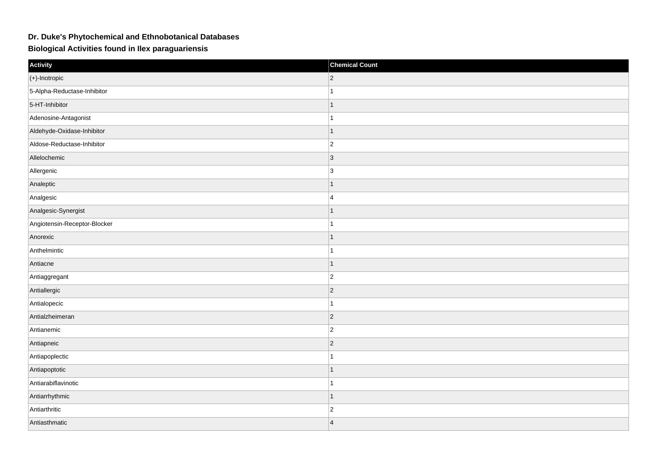## **Dr. Duke's Phytochemical and Ethnobotanical Databases**

**Biological Activities found in Ilex paraguariensis**

| Activity                     | <b>Chemical Count</b> |
|------------------------------|-----------------------|
| $(+)$ -Inotropic             | $ 2\rangle$           |
| 5-Alpha-Reductase-Inhibitor  | $\mathbf{1}$          |
| 5-HT-Inhibitor               | $\mathbf{1}$          |
| Adenosine-Antagonist         | $\mathbf{1}$          |
| Aldehyde-Oxidase-Inhibitor   | $\mathbf{1}$          |
| Aldose-Reductase-Inhibitor   | $ 2\rangle$           |
| Allelochemic                 | $\vert 3 \vert$       |
| Allergenic                   | $\vert$ 3             |
| Analeptic                    | $\mathbf{1}$          |
| Analgesic                    | 4                     |
| Analgesic-Synergist          | $\mathbf{1}$          |
| Angiotensin-Receptor-Blocker | $\mathbf{1}$          |
| Anorexic                     | $\mathbf{1}$          |
| Anthelmintic                 | $\mathbf{1}$          |
| Antiacne                     | $\mathbf{1}$          |
| Antiaggregant                | $ 2\rangle$           |
| Antiallergic                 | $\vert$ 2             |
| Antialopecic                 | $\mathbf{1}$          |
| Antialzheimeran              | $\overline{2}$        |
| Antianemic                   | $\vert$ 2             |
| Antiapneic                   | $\vert$ 2             |
| Antiapoplectic               | $\mathbf{1}$          |
| Antiapoptotic                | $\mathbf{1}$          |
| Antiarabiflavinotic          | $\mathbf{1}$          |
| Antiarrhythmic               | $\mathbf{1}$          |
| Antiarthritic                | $\vert$ 2             |
| Antiasthmatic                | $\vert$ 4             |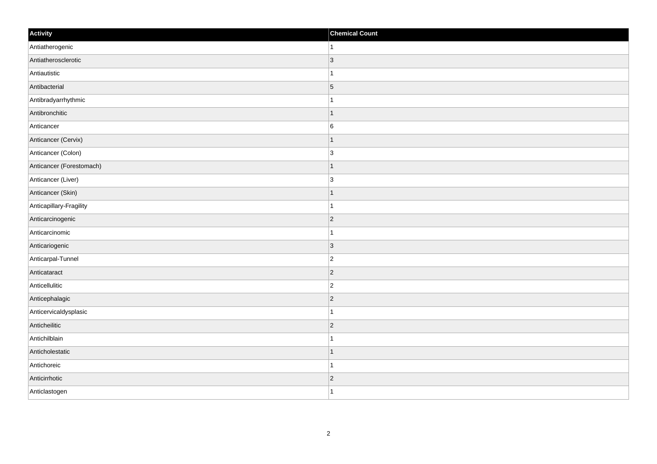| Activity                 | <b>Chemical Count</b> |
|--------------------------|-----------------------|
| Antiatherogenic          | $\vert$ 1             |
| Antiatherosclerotic      | $\vert$ 3             |
| Antiautistic             | $\mathbf 1$           |
| Antibacterial            | $\overline{5}$        |
| Antibradyarrhythmic      | $\mathbf{1}$          |
| Antibronchitic           | $\vert$ 1             |
| Anticancer               | $\overline{6}$        |
| Anticancer (Cervix)      | $\mathbf{1}$          |
| Anticancer (Colon)       | 3                     |
| Anticancer (Forestomach) | $\vert$ 1             |
| Anticancer (Liver)       | 3                     |
| Anticancer (Skin)        | $\mathbf{1}$          |
| Anticapillary-Fragility  | $\mathbf{1}$          |
| Anticarcinogenic         | $\vert$ 2             |
| Anticarcinomic           | $\mathbf{1}$          |
| Anticariogenic           | $ 3\rangle$           |
| Anticarpal-Tunnel        | $\overline{2}$        |
| Anticataract             | $ 2\rangle$           |
| Anticellulitic           | $\vert$ 2             |
| Anticephalagic           | $ 2\rangle$           |
| Anticervicaldysplasic    | $\mathbf{1}$          |
| Anticheilitic            | $ 2\rangle$           |
| Antichilblain            | $\mathbf{1}$          |
| Anticholestatic          | $\vert$ 1             |
| Antichoreic              | $\vert$ 1             |
| Anticirrhotic            | $\vert$ 2             |
| Anticlastogen            | $\vert$ 1             |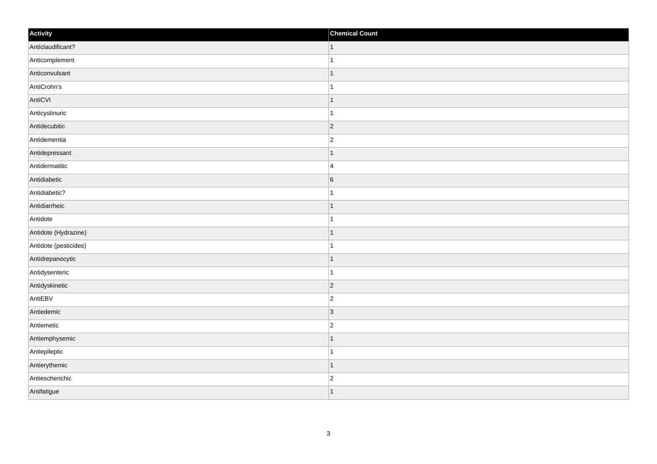| Activity              | <b>Chemical Count</b> |
|-----------------------|-----------------------|
| Anticlaudificant?     | $\vert$ 1             |
| Anticomplement        | $\mathbf{1}$          |
| Anticonvulsant        | $\mathbf 1$           |
| AntiCrohn's           | $\overline{1}$        |
| AntiCVI               | $\mathbf 1$           |
| Anticystinuric        |                       |
| Antidecubitic         | $ 2\rangle$           |
| Antidementia          | $\overline{2}$        |
| Antidepressant        |                       |
| Antidermatitic        | $\overline{4}$        |
| Antidiabetic          | $6\phantom{.}6$       |
| Antidiabetic?         |                       |
| Antidiarrheic         | $\mathbf 1$           |
| Antidote              | $\mathbf{1}$          |
| Antidote (Hydrazine)  | $\overline{1}$        |
| Antidote (pesticides) | $\mathbf{1}$          |
| Antidrepanocytic      | $\mathbf 1$           |
| Antidysenteric        | $\mathbf{1}$          |
| Antidyskinetic        | $ 2\rangle$           |
| AntiEBV               | $\overline{c}$        |
| Antiedemic            | 3                     |
| Antiemetic            | $ 2\rangle$           |
| Antiemphysemic        | 1                     |
| Antiepileptic         | $\mathbf 1$           |
| Antierythemic         | $\mathbf{1}$          |
| Antiescherichic       | $\overline{c}$        |
| Antifatigue           | $\overline{1}$        |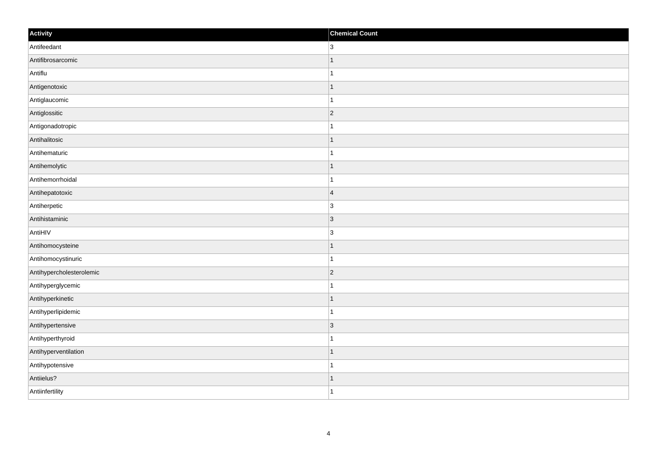| Activity                 | <b>Chemical Count</b> |
|--------------------------|-----------------------|
| Antifeedant              | 3                     |
| Antifibrosarcomic        |                       |
| Antiflu                  |                       |
| Antigenotoxic            | 1                     |
| Antiglaucomic            | 1                     |
| Antiglossitic            | $\vert$ 2             |
| Antigonadotropic         |                       |
| Antihalitosic            |                       |
| Antihematuric            |                       |
| Antihemolytic            | -1                    |
| Antihemorrhoidal         | 1                     |
| Antihepatotoxic          | $\vert 4 \vert$       |
| Antiherpetic             | $\overline{3}$        |
| Antihistaminic           | $\overline{3}$        |
| AntiHIV                  | 3                     |
| Antihomocysteine         | 1                     |
| Antihomocystinuric       | 1                     |
| Antihypercholesterolemic | $\vert$ 2             |
| Antihyperglycemic        |                       |
| Antihyperkinetic         |                       |
| Antihyperlipidemic       |                       |
| Antihypertensive         | $\vert$ 3             |
| Antihyperthyroid         |                       |
| Antihyperventilation     |                       |
| Antihypotensive          | -1                    |
| Antiielus?               |                       |
| Antiinfertility          | 1                     |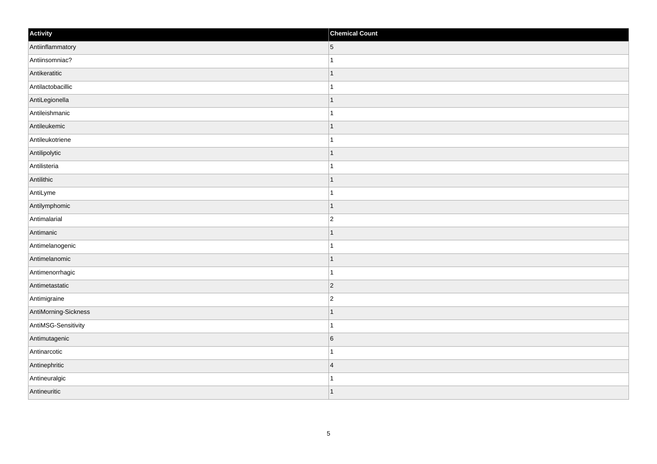| Activity             | <b>Chemical Count</b> |
|----------------------|-----------------------|
| Antiinflammatory     | $\vert 5 \vert$       |
| Antiinsomniac?       | $\mathbf{1}$          |
| Antikeratitic        | $\vert$ 1             |
| Antilactobacillic    | $\mathbf{1}$          |
| AntiLegionella       | $\mathbf{1}$          |
| Antileishmanic       | $\mathbf{1}$          |
| Antileukemic         | $\vert$ 1             |
| Antileukotriene      | $\vert$ 1             |
| Antilipolytic        | $\vert$ 1             |
| Antilisteria         | $\mathbf{1}$          |
| Antilithic           | $\mathbf{1}$          |
| AntiLyme             | $\mathbf{1}$          |
| Antilymphomic        | $\vert$ 1             |
| Antimalarial         | $ 2\rangle$           |
| Antimanic            | $\mathbf{1}$          |
| Antimelanogenic      | $\mathbf{1}$          |
| Antimelanomic        | $\vert$ 1             |
| Antimenorrhagic      | $\vert$ 1             |
| Antimetastatic       | $ 2\rangle$           |
| Antimigraine         | $\overline{2}$        |
| AntiMorning-Sickness | $\vert$ 1             |
| AntiMSG-Sensitivity  | $\mathbf{1}$          |
| Antimutagenic        | $6\overline{6}$       |
| Antinarcotic         | $\mathbf{1}$          |
| Antinephritic        | $\vert 4$             |
| Antineuralgic        | 1                     |
| Antineuritic         | $\vert$ 1             |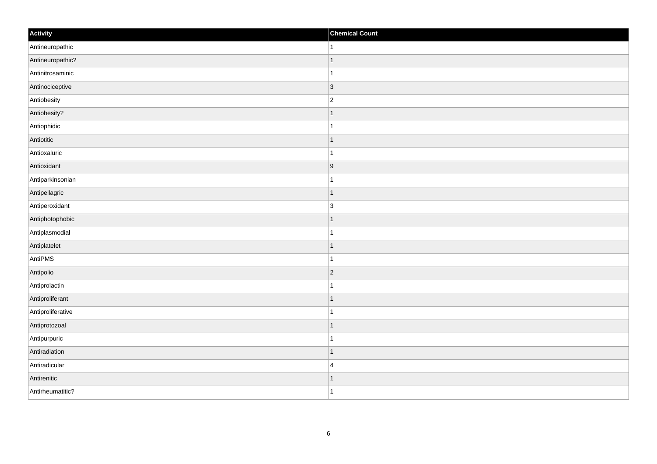| Activity          | <b>Chemical Count</b> |
|-------------------|-----------------------|
| Antineuropathic   | $\vert$ 1             |
| Antineuropathic?  | $\vert$ 1             |
| Antinitrosaminic  | $\mathbf{1}$          |
| Antinociceptive   | $ 3\rangle$           |
| Antiobesity       | $ 2\rangle$           |
| Antiobesity?      | $\mathbf{1}$          |
| Antiophidic       | $\mathbf{1}$          |
| Antiotitic        | $\mathbf{1}$          |
| Antioxaluric      | $\mathbf{1}$          |
| Antioxidant       | 9                     |
| Antiparkinsonian  | $\vert$ 1             |
| Antipellagric     | $\vert$ 1             |
| Antiperoxidant    | 3                     |
| Antiphotophobic   | $\vert$ 1             |
| Antiplasmodial    | $\vert$ 1             |
| Antiplatelet      | $\vert$ 1             |
| AntiPMS           | $\vert$ 1             |
| Antipolio         | $ 2\rangle$           |
| Antiprolactin     | $\vert$ 1             |
| Antiproliferant   | $\vert$ 1             |
| Antiproliferative | $\vert$ 1             |
| Antiprotozoal     | $\vert$ 1             |
| Antipurpuric      | $\mathbf{1}$          |
| Antiradiation     | $\vert$ 1             |
| Antiradicular     | $\vert 4 \vert$       |
| Antirenitic       | $\vert$ 1             |
| Antirheumatitic?  | $\vert$ 1             |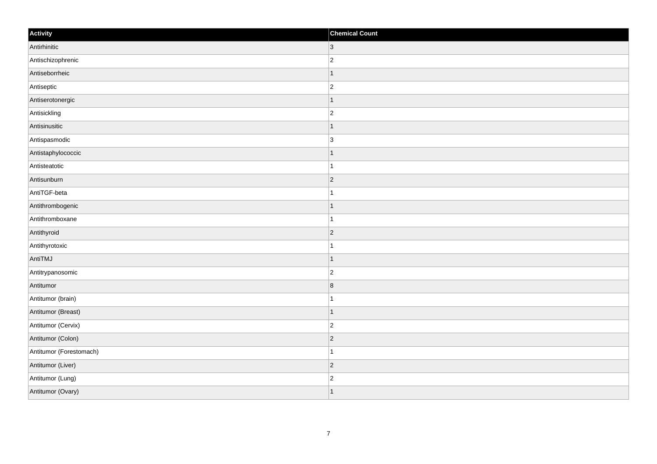| Activity                | <b>Chemical Count</b> |
|-------------------------|-----------------------|
| Antirhinitic            | $ 3\rangle$           |
| Antischizophrenic       | $\overline{c}$        |
| Antiseborrheic          | $\mathbf 1$           |
| Antiseptic              | $\overline{c}$        |
| Antiserotonergic        | $\mathbf 1$           |
| Antisickling            | $ 2\rangle$           |
| Antisinusitic           | $\vert$ 1             |
| Antispasmodic           | 3                     |
| Antistaphylococcic      | -1                    |
| Antisteatotic           | $\mathbf{1}$          |
| Antisunburn             | $\overline{2}$        |
| AntiTGF-beta            |                       |
| Antithrombogenic        | $\vert$ 1             |
| Antithromboxane         | $\overline{1}$        |
| Antithyroid             | $ 2\rangle$           |
| Antithyrotoxic          | $\mathbf{1}$          |
| AntiTMJ                 | $\mathbf 1$           |
| Antitrypanosomic        | $\overline{c}$        |
| Antitumor               | 8                     |
| Antitumor (brain)       | 1                     |
| Antitumor (Breast)      | $\vert$ 1             |
| Antitumor (Cervix)      | $ 2\rangle$           |
| Antitumor (Colon)       | $\overline{2}$        |
| Antitumor (Forestomach) | $\overline{1}$        |
| Antitumor (Liver)       | $ 2\rangle$           |
| Antitumor (Lung)        | $\overline{c}$        |
| Antitumor (Ovary)       | $\vert$ 1             |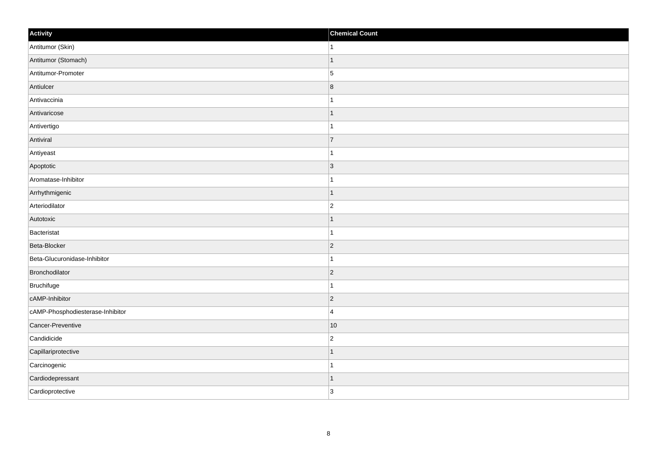| Activity                         | <b>Chemical Count</b>   |
|----------------------------------|-------------------------|
| Antitumor (Skin)                 | $\vert$ 1               |
| Antitumor (Stomach)              | $\mathbf{1}$            |
| Antitumor-Promoter               | 5                       |
| Antiulcer                        | $\overline{\mathbf{8}}$ |
| Antivaccinia                     | $\mathbf{1}$            |
| Antivaricose                     | $\mathbf{1}$            |
| Antivertigo                      | $\mathbf{1}$            |
| Antiviral                        | $\overline{7}$          |
| Antiyeast                        | $\mathbf{1}$            |
| Apoptotic                        | $ 3\rangle$             |
| Aromatase-Inhibitor              | $\mathbf{1}$            |
| Arrhythmigenic                   | $\vert$ 1               |
| Arteriodilator                   | $\vert$ 2               |
| Autotoxic                        | $\mathbf{1}$            |
| Bacteristat                      | $\vert$ 1               |
| Beta-Blocker                     | $ 2\rangle$             |
| Beta-Glucuronidase-Inhibitor     | $\mathbf{1}$            |
| Bronchodilator                   | $ 2\rangle$             |
| Bruchifuge                       | $\vert$ 1               |
| cAMP-Inhibitor                   | $ 2\rangle$             |
| cAMP-Phosphodiesterase-Inhibitor | $\vert$ 4               |
| Cancer-Preventive                | 10                      |
| Candidicide                      | $ 2\rangle$             |
| Capillariprotective              | $\mathbf{1}$            |
| Carcinogenic                     | $\mathbf{1}$            |
| Cardiodepressant                 | $\vert$ 1               |
| Cardioprotective                 | 3                       |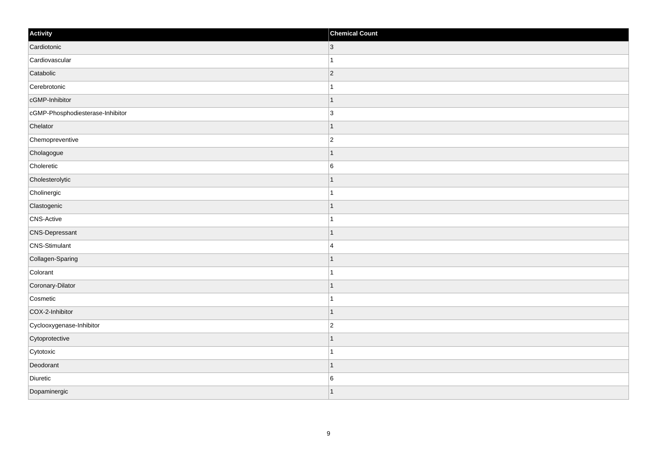| Activity                         | <b>Chemical Count</b>    |
|----------------------------------|--------------------------|
| Cardiotonic                      | $\overline{\mathbf{3}}$  |
| Cardiovascular                   |                          |
| Catabolic                        | $\vert$ 2                |
| Cerebrotonic                     |                          |
| cGMP-Inhibitor                   |                          |
| cGMP-Phosphodiesterase-Inhibitor | $\overline{3}$           |
| Chelator                         | $\overline{\phantom{a}}$ |
| Chemopreventive                  | $\overline{2}$           |
| Cholagogue                       |                          |
| Choleretic                       | $6\phantom{a}$           |
| Cholesterolytic                  |                          |
| Cholinergic                      |                          |
| Clastogenic                      | -1                       |
| CNS-Active                       | 1                        |
| <b>CNS-Depressant</b>            |                          |
| CNS-Stimulant                    | $\overline{4}$           |
| Collagen-Sparing                 |                          |
| Colorant                         |                          |
| Coronary-Dilator                 | 1                        |
| Cosmetic                         |                          |
| COX-2-Inhibitor                  | $\overline{\phantom{a}}$ |
| Cyclooxygenase-Inhibitor         | $\overline{c}$           |
| Cytoprotective                   |                          |
| Cytotoxic                        |                          |
| Deodorant                        |                          |
| Diuretic                         | $6\phantom{.}6$          |
| Dopaminergic                     |                          |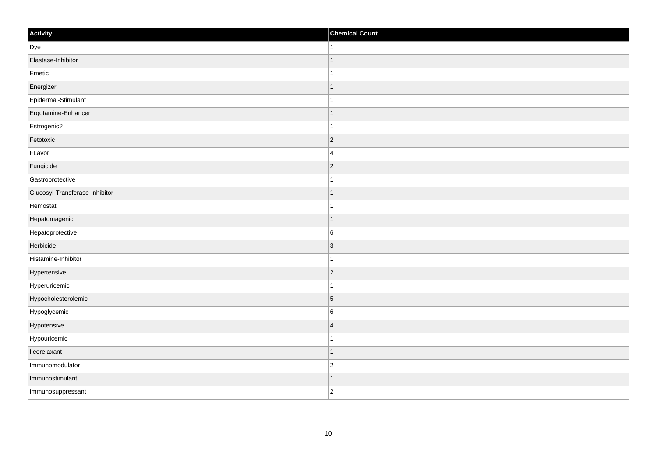| Activity                       | <b>Chemical Count</b>    |
|--------------------------------|--------------------------|
| Dye                            | -1                       |
| Elastase-Inhibitor             |                          |
| Emetic                         |                          |
| Energizer                      | -1                       |
| Epidermal-Stimulant            | -1                       |
| Ergotamine-Enhancer            |                          |
| Estrogenic?                    |                          |
| Fetotoxic                      | $ 2\rangle$              |
| FLavor                         | $\overline{4}$           |
| Fungicide                      | $\vert$ 2                |
| Gastroprotective               |                          |
| Glucosyl-Transferase-Inhibitor |                          |
| Hemostat                       |                          |
| Hepatomagenic                  |                          |
| Hepatoprotective               | $6\phantom{.}6$          |
| Herbicide                      | $\vert 3 \vert$          |
| Histamine-Inhibitor            |                          |
| Hypertensive                   | $\vert$ 2                |
| Hyperuricemic                  |                          |
| Hypocholesterolemic            | $\overline{5}$           |
| Hypoglycemic                   | $\,6$                    |
| Hypotensive                    | $\overline{4}$           |
| Hypouricemic                   |                          |
| lleorelaxant                   | $\overline{\phantom{a}}$ |
| Immunomodulator                | $\overline{c}$           |
| Immunostimulant                |                          |
| Immunosuppressant              | $\overline{2}$           |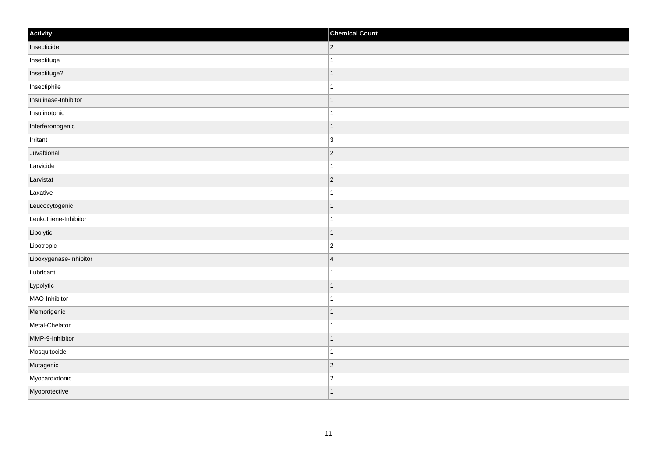| Activity               | <b>Chemical Count</b>    |
|------------------------|--------------------------|
| Insecticide            | $ 2\rangle$              |
| Insectifuge            |                          |
| Insectifuge?           | $\overline{\phantom{a}}$ |
| Insectiphile           |                          |
| Insulinase-Inhibitor   | -1                       |
| Insulinotonic          |                          |
| Interferonogenic       | $\vert$ 1                |
| Irritant               | 3                        |
| Juvabional             | $\vert$ 2                |
| Larvicide              |                          |
| Larvistat              | $\overline{2}$           |
| Laxative               |                          |
| Leucocytogenic         | 1                        |
| Leukotriene-Inhibitor  | 1                        |
| Lipolytic              | $\overline{\phantom{a}}$ |
| Lipotropic             | $\overline{2}$           |
| Lipoxygenase-Inhibitor | $\overline{4}$           |
| Lubricant              |                          |
| Lypolytic              | $\mathbf{1}$             |
| MAO-Inhibitor          | 1                        |
| Memorigenic            | $\overline{\phantom{a}}$ |
| Metal-Chelator         |                          |
| MMP-9-Inhibitor        | 1                        |
| Mosquitocide           | -1                       |
| Mutagenic              | $\vert$ 2                |
| Myocardiotonic         | $\overline{2}$           |
| Myoprotective          | $\overline{\phantom{a}}$ |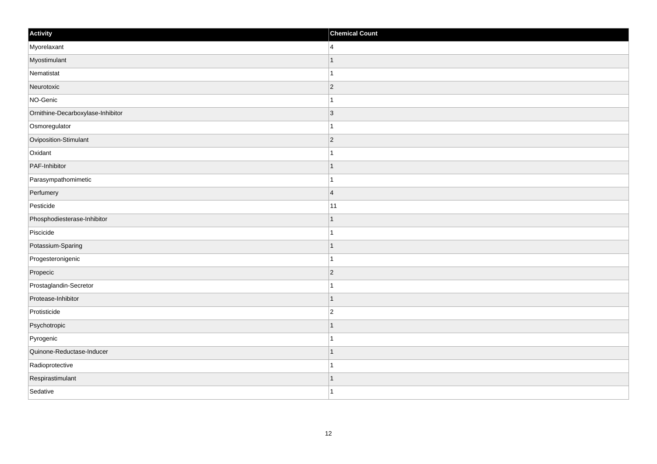| Activity                          | <b>Chemical Count</b> |
|-----------------------------------|-----------------------|
| Myorelaxant                       | $\overline{4}$        |
| Myostimulant                      |                       |
| Nematistat                        |                       |
| Neurotoxic                        | $ 2\rangle$           |
| NO-Genic                          | 1                     |
| Ornithine-Decarboxylase-Inhibitor | 3                     |
| Osmoregulator                     |                       |
| Oviposition-Stimulant             | $\overline{2}$        |
| Oxidant                           |                       |
| PAF-Inhibitor                     | $\mathbf 1$           |
| Parasympathomimetic               | $\mathbf 1$           |
| Perfumery                         | $\overline{4}$        |
| Pesticide                         | 11                    |
| Phosphodiesterase-Inhibitor       |                       |
| Piscicide                         |                       |
| Potassium-Sparing                 | $\mathbf{1}$          |
| Progesteronigenic                 | $\mathbf 1$           |
| Propecic                          | $ 2\rangle$           |
| Prostaglandin-Secretor            | 1                     |
| Protease-Inhibitor                | 1                     |
| Protisticide                      | $\overline{c}$        |
| Psychotropic                      | $\mathbf 1$           |
| Pyrogenic                         | 1                     |
| Quinone-Reductase-Inducer         | $\overline{1}$        |
| Radioprotective                   | $\overline{1}$        |
| Respirastimulant                  | 1                     |
| Sedative                          | $\overline{1}$        |